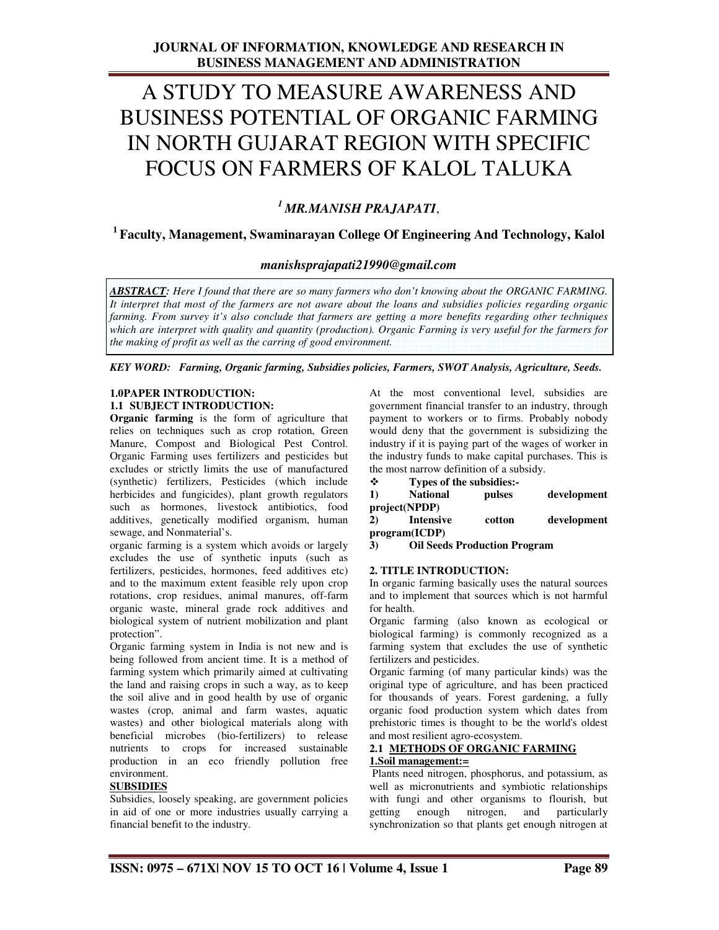## A STUDY TO MEASURE AWARENESS AND BUSINESS POTENTIAL OF ORGANIC FARMING IN NORTH GUJARAT REGION WITH SPECIFIC FOCUS ON FARMERS OF KALOL TALUKA

## *<sup>1</sup>MR.MANISH PRAJAPATI*,

## **<sup>1</sup>Faculty, Management, Swaminarayan College Of Engineering And Technology, Kalol**

## *manishsprajapati21990@gmail.com*

*ABSTRACT: Here I found that there are so many farmers who don't knowing about the ORGANIC FARMING. It interpret that most of the farmers are not aware about the loans and subsidies policies regarding organic farming. From survey it's also conclude that farmers are getting a more benefits regarding other techniques which are interpret with quality and quantity (production). Organic Farming is very useful for the farmers for the making of profit as well as the carring of good environment.* 

*KEY WORD: Farming, Organic farming, Subsidies policies, Farmers, SWOT Analysis, Agriculture, Seeds.* 

## **1.0PAPER INTRODUCTION: 1.1 SUBJECT INTRODUCTION:**

**Organic farming** is the form of agriculture that relies on techniques such as crop rotation, Green Manure, Compost and Biological Pest Control. Organic Farming uses fertilizers and pesticides but excludes or strictly limits the use of manufactured (synthetic) fertilizers, Pesticides (which include herbicides and fungicides), plant growth regulators such as hormones, livestock antibiotics, food additives, genetically modified organism, human sewage, and Nonmaterial's.

organic farming is a system which avoids or largely excludes the use of synthetic inputs (such as fertilizers, pesticides, hormones, feed additives etc) and to the maximum extent feasible rely upon crop rotations, crop residues, animal manures, off-farm organic waste, mineral grade rock additives and biological system of nutrient mobilization and plant protection".

Organic farming system in India is not new and is being followed from ancient time. It is a method of farming system which primarily aimed at cultivating the land and raising crops in such a way, as to keep the soil alive and in good health by use of organic wastes (crop, animal and farm wastes, aquatic wastes) and other biological materials along with beneficial microbes (bio-fertilizers) to release nutrients to crops for increased sustainable production in an eco friendly pollution free environment.

## **SUBSIDIES**

Subsidies, loosely speaking, are government policies in aid of one or more industries usually carrying a financial benefit to the industry.

At the most conventional level, subsidies are government financial transfer to an industry, through payment to workers or to firms. Probably nobody would deny that the government is subsidizing the industry if it is paying part of the wages of worker in the industry funds to make capital purchases. This is the most narrow definition of a subsidy.

**Types of the subsidies:-** 

| 1) | <b>National</b>  | pulses | development |
|----|------------------|--------|-------------|
|    | project(NPDP)    |        |             |
| 2) | <b>Intensive</b> | cotton | development |
|    | program(ICDP)    |        |             |

**3) Oil Seeds Production Program** 

## **2. TITLE INTRODUCTION:**

In organic farming basically uses the natural sources and to implement that sources which is not harmful for health.

Organic farming (also known as ecological or biological farming) is commonly recognized as a farming system that excludes the use of synthetic fertilizers and pesticides.

Organic farming (of many particular kinds) was the original type of agriculture, and has been practiced for thousands of years. Forest gardening, a fully organic food production system which dates from prehistoric times is thought to be the world's oldest and most resilient agro-ecosystem.

## **2.1 METHODS OF ORGANIC FARMING 1.Soil management:=**

 Plants need nitrogen, phosphorus, and potassium, as well as micronutrients and symbiotic relationships with fungi and other organisms to flourish, but getting enough nitrogen, and particularly synchronization so that plants get enough nitrogen at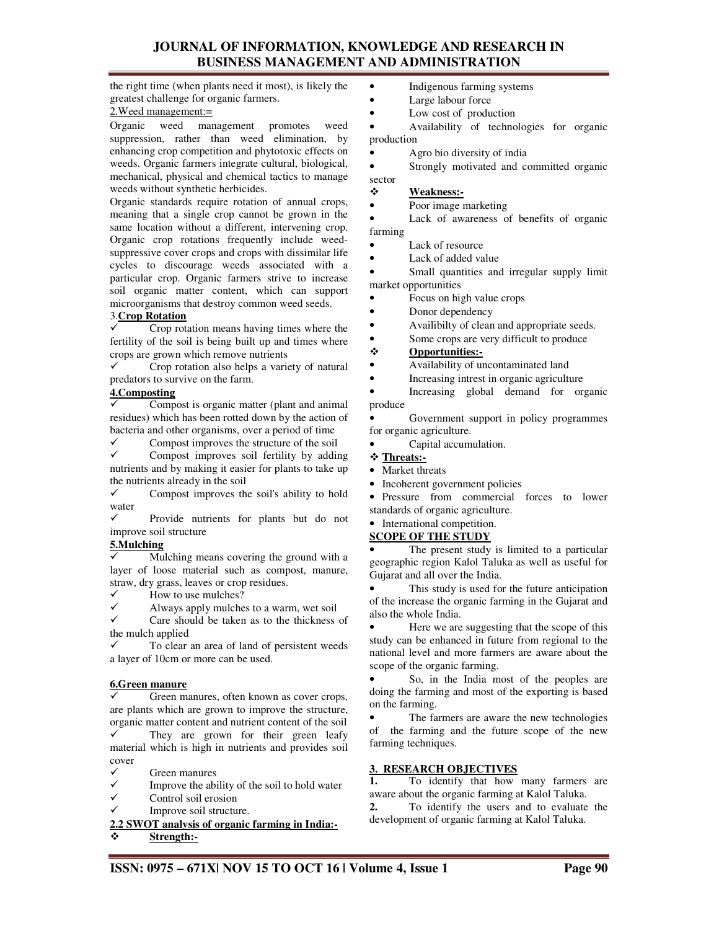## **JOURNAL OF INFORMATION, KNOWLEDGE AND RESEARCH IN BUSINESS MANAGEMENT AND ADMINISTRATION**

the right time (when plants need it most), is likely the greatest challenge for organic farmers.

#### 2.Weed management:=

Organic weed management promotes weed suppression, rather than weed elimination, by enhancing crop competition and phytotoxic effects on weeds. Organic farmers integrate cultural, biological, mechanical, physical and chemical tactics to manage weeds without synthetic herbicides.

Organic standards require rotation of annual crops, meaning that a single crop cannot be grown in the same location without a different, intervening crop. Organic crop rotations frequently include weedsuppressive cover crops and crops with dissimilar life cycles to discourage weeds associated with a particular crop. Organic farmers strive to increase soil organic matter content, which can support microorganisms that destroy common weed seeds.

## 3.**Crop Rotation**

 $\checkmark$  Crop rotation means having times where the fertility of the soil is being built up and times where crops are grown which remove nutrients

 $\checkmark$  Crop rotation also helps a variety of natural predators to survive on the farm.

#### **4.Composting**

 $\checkmark$  Compost is organic matter (plant and animal residues) which has been rotted down by the action of bacteria and other organisms, over a period of time

 $\checkmark$ Compost improves the structure of the soil

 $\checkmark$  Compost improves soil fertility by adding nutrients and by making it easier for plants to take up the nutrients already in the soil

 $\checkmark$  Compost improves the soil's ability to hold water

 $\checkmark$  Provide nutrients for plants but do not improve soil structure

#### **5.Mulching**

 $\overline{\checkmark}$  Mulching means covering the ground with a layer of loose material such as compost, manure, straw, dry grass, leaves or crop residues.

 $\checkmark$ How to use mulches?

 $\checkmark$ Always apply mulches to a warm, wet soil

 $\checkmark$  Care should be taken as to the thickness of the mulch applied

 $\checkmark$  To clear an area of land of persistent weeds a layer of 10cm or more can be used.

#### **6.Green manure**

 $\checkmark$  Green manures, often known as cover crops, are plants which are grown to improve the structure, organic matter content and nutrient content of the soil  $\checkmark$  They are grown for their green leafy material which is high in nutrients and provides soil

- cover  $\checkmark$
- Green manures  $\checkmark$
- Improve the ability of the soil to hold water
- $\checkmark$ Control soil erosion
- $\checkmark$ Improve soil structure.

## **2.2 SWOT analysis of organic farming in India:- Strength:-**

- Indigenous farming systems
- Large labour force
- Low cost of production

• Availability of technologies for organic production

- Agro bio diversity of india
- Strongly motivated and committed organic

sector

**Weakness:-**

• Poor image marketing

• Lack of awareness of benefits of organic farming

- Lack of resource
- Lack of added value

Small quantities and irregular supply limit market opportunities

- Focus on high value crops
- Donor dependency
- Availibilty of clean and appropriate seeds.
- Some crops are very difficult to produce

### **Opportunities:-**

• Availability of uncontaminated land

• Increasing intrest in organic agriculture

• Increasing global demand for organic produce

• Government support in policy programmes for organic agriculture.

• Capital accumulation.

## **Threats:-**

- Market threats
- Incoherent government policies

• Pressure from commercial forces to lower standards of organic agriculture.

## • International competition.

**SCOPE OF THE STUDY**

The present study is limited to a particular geographic region Kalol Taluka as well as useful for Gujarat and all over the India.

This study is used for the future anticipation of the increase the organic farming in the Gujarat and also the whole India.

Here we are suggesting that the scope of this study can be enhanced in future from regional to the national level and more farmers are aware about the scope of the organic farming.

• So, in the India most of the peoples are doing the farming and most of the exporting is based on the farming.

The farmers are aware the new technologies of the farming and the future scope of the new farming techniques.

# **3. RESEARCH OBJECTIVES**<br>**1.** To identify

**1.** To identify that how many farmers are aware about the organic farming at Kalol Taluka.

**2.** To identify the users and to evaluate the development of organic farming at Kalol Taluka.